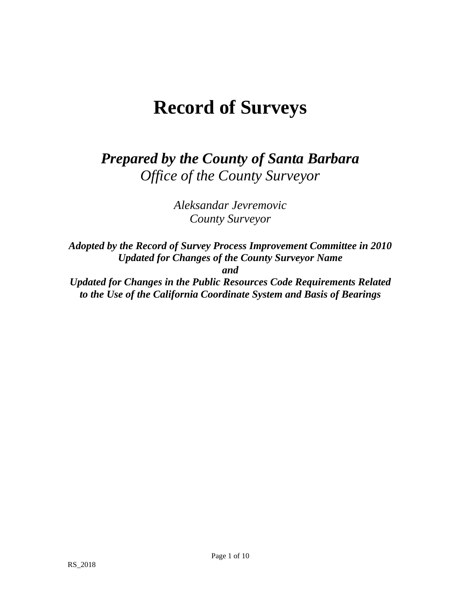# **Record of Surveys**

*Prepared by the County of Santa Barbara Office of the County Surveyor* 

> *Aleksandar Jevremovic County Surveyor*

*Adopted by the Record of Survey Process Improvement Committee in 2010 Updated for Changes of the County Surveyor Name and* 

*Updated for Changes in the Public Resources Code Requirements Related to the Use of the California Coordinate System and Basis of Bearings*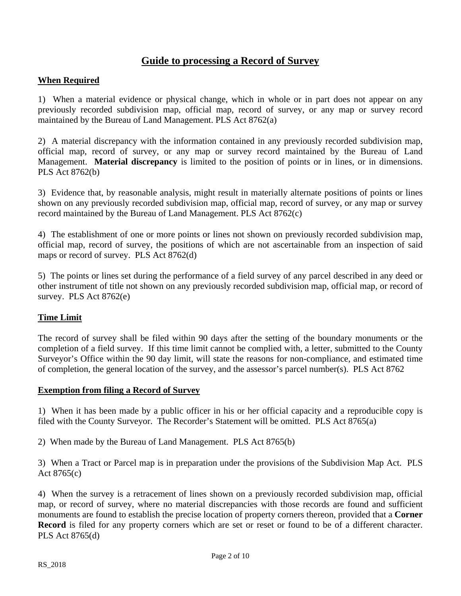# **Guide to processing a Record of Survey**

## **When Required**

1) When a material evidence or physical change, which in whole or in part does not appear on any previously recorded subdivision map, official map, record of survey, or any map or survey record maintained by the Bureau of Land Management. PLS Act 8762(a)

2) A material discrepancy with the information contained in any previously recorded subdivision map, official map, record of survey, or any map or survey record maintained by the Bureau of Land Management. **Material discrepancy** is limited to the position of points or in lines, or in dimensions. PLS Act 8762(b)

3) Evidence that, by reasonable analysis, might result in materially alternate positions of points or lines shown on any previously recorded subdivision map, official map, record of survey, or any map or survey record maintained by the Bureau of Land Management. PLS Act 8762(c)

4) The establishment of one or more points or lines not shown on previously recorded subdivision map, official map, record of survey, the positions of which are not ascertainable from an inspection of said maps or record of survey. PLS Act 8762(d)

5) The points or lines set during the performance of a field survey of any parcel described in any deed or other instrument of title not shown on any previously recorded subdivision map, official map, or record of survey. PLS Act 8762(e)

#### **Time Limit**

The record of survey shall be filed within 90 days after the setting of the boundary monuments or the completion of a field survey. If this time limit cannot be complied with, a letter, submitted to the County Surveyor's Office within the 90 day limit, will state the reasons for non-compliance, and estimated time of completion, the general location of the survey, and the assessor's parcel number(s). PLS Act 8762

#### **Exemption from filing a Record of Survey**

1) When it has been made by a public officer in his or her official capacity and a reproducible copy is filed with the County Surveyor. The Recorder's Statement will be omitted. PLS Act 8765(a)

2) When made by the Bureau of Land Management. PLS Act 8765(b)

3) When a Tract or Parcel map is in preparation under the provisions of the Subdivision Map Act. PLS Act 8765(c)

4) When the survey is a retracement of lines shown on a previously recorded subdivision map, official map, or record of survey, where no material discrepancies with those records are found and sufficient monuments are found to establish the precise location of property corners thereon, provided that a **Corner Record** is filed for any property corners which are set or reset or found to be of a different character. PLS Act 8765(d)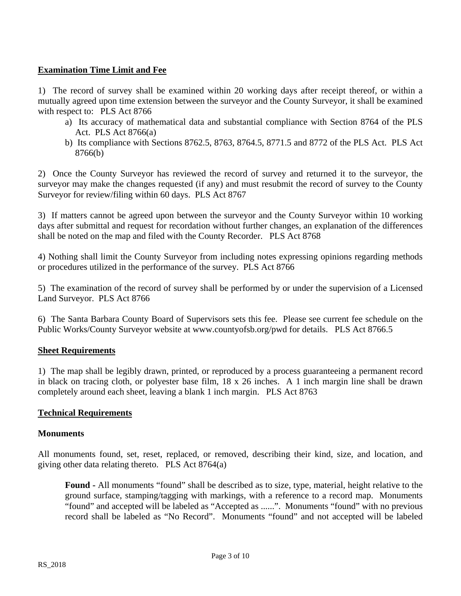# **Examination Time Limit and Fee**

1) The record of survey shall be examined within 20 working days after receipt thereof, or within a mutually agreed upon time extension between the surveyor and the County Surveyor, it shall be examined with respect to: PLS Act 8766

- a) Its accuracy of mathematical data and substantial compliance with Section 8764 of the PLS Act. PLS Act 8766(a)
- b) Its compliance with Sections 8762.5, 8763, 8764.5, 8771.5 and 8772 of the PLS Act. PLS Act 8766(b)

2) Once the County Surveyor has reviewed the record of survey and returned it to the surveyor, the surveyor may make the changes requested (if any) and must resubmit the record of survey to the County Surveyor for review/filing within 60 days. PLS Act 8767

3) If matters cannot be agreed upon between the surveyor and the County Surveyor within 10 working days after submittal and request for recordation without further changes, an explanation of the differences shall be noted on the map and filed with the County Recorder. PLS Act 8768

4) Nothing shall limit the County Surveyor from including notes expressing opinions regarding methods or procedures utilized in the performance of the survey. PLS Act 8766

5) The examination of the record of survey shall be performed by or under the supervision of a Licensed Land Surveyor. PLS Act 8766

6) The Santa Barbara County Board of Supervisors sets this fee. Please see current fee schedule on the Public Works/County Surveyor website at www.countyofsb.org/pwd for details. PLS Act 8766.5

# **Sheet Requirements**

1) The map shall be legibly drawn, printed, or reproduced by a process guaranteeing a permanent record in black on tracing cloth, or polyester base film, 18 x 26 inches. A 1 inch margin line shall be drawn completely around each sheet, leaving a blank 1 inch margin. PLS Act 8763

# **Technical Requirements**

# **Monuments**

All monuments found, set, reset, replaced, or removed, describing their kind, size, and location, and giving other data relating thereto. PLS Act 8764(a)

**Found -** All monuments "found" shall be described as to size, type, material, height relative to the ground surface, stamping/tagging with markings, with a reference to a record map. Monuments "found" and accepted will be labeled as "Accepted as ......". Monuments "found" with no previous record shall be labeled as "No Record". Monuments "found" and not accepted will be labeled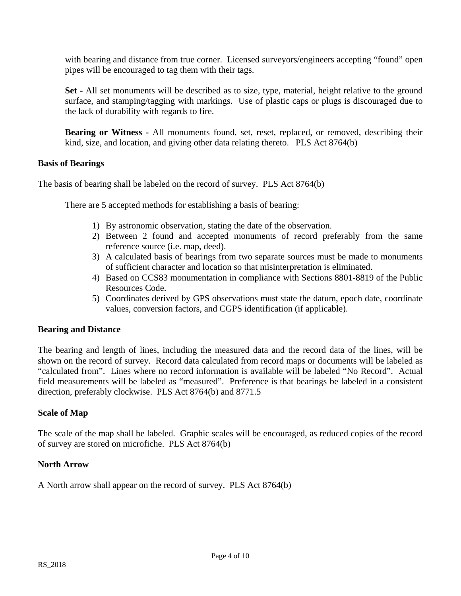with bearing and distance from true corner. Licensed surveyors/engineers accepting "found" open pipes will be encouraged to tag them with their tags.

**Set -** All set monuments will be described as to size, type, material, height relative to the ground surface, and stamping/tagging with markings. Use of plastic caps or plugs is discouraged due to the lack of durability with regards to fire.

**Bearing or Witness -** All monuments found, set, reset, replaced, or removed, describing their kind, size, and location, and giving other data relating thereto. PLS Act 8764(b)

## **Basis of Bearings**

The basis of bearing shall be labeled on the record of survey. PLS Act 8764(b)

There are 5 accepted methods for establishing a basis of bearing:

- 1) By astronomic observation, stating the date of the observation.
- 2) Between 2 found and accepted monuments of record preferably from the same reference source (i.e. map, deed).
- 3) A calculated basis of bearings from two separate sources must be made to monuments of sufficient character and location so that misinterpretation is eliminated.
- 4) Based on CCS83 monumentation in compliance with Sections 8801-8819 of the Public Resources Code.
- 5) Coordinates derived by GPS observations must state the datum, epoch date, coordinate values, conversion factors, and CGPS identification (if applicable).

#### **Bearing and Distance**

The bearing and length of lines, including the measured data and the record data of the lines, will be shown on the record of survey. Record data calculated from record maps or documents will be labeled as "calculated from". Lines where no record information is available will be labeled "No Record". Actual field measurements will be labeled as "measured". Preference is that bearings be labeled in a consistent direction, preferably clockwise. PLS Act 8764(b) and 8771.5

# **Scale of Map**

The scale of the map shall be labeled. Graphic scales will be encouraged, as reduced copies of the record of survey are stored on microfiche. PLS Act 8764(b)

#### **North Arrow**

A North arrow shall appear on the record of survey. PLS Act 8764(b)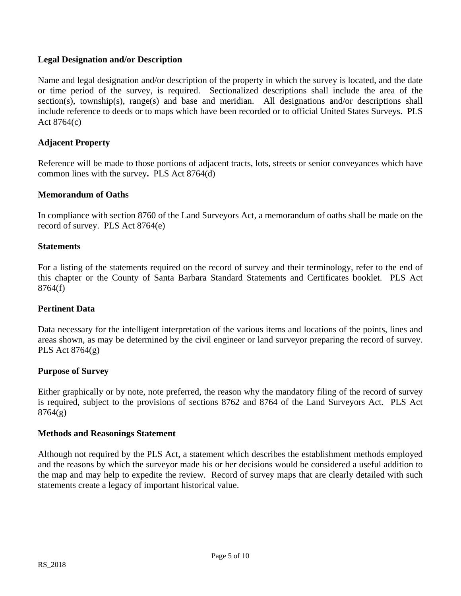## **Legal Designation and/or Description**

Name and legal designation and/or description of the property in which the survey is located, and the date or time period of the survey, is required. Sectionalized descriptions shall include the area of the section(s), township(s), range(s) and base and meridian. All designations and/or descriptions shall include reference to deeds or to maps which have been recorded or to official United States Surveys. PLS Act 8764(c)

## **Adjacent Property**

Reference will be made to those portions of adjacent tracts, lots, streets or senior conveyances which have common lines with the survey**.** PLS Act 8764(d)

#### **Memorandum of Oaths**

In compliance with section 8760 of the Land Surveyors Act, a memorandum of oaths shall be made on the record of survey. PLS Act 8764(e)

#### **Statements**

For a listing of the statements required on the record of survey and their terminology, refer to the end of this chapter or the County of Santa Barbara Standard Statements and Certificates booklet. PLS Act 8764(f)

#### **Pertinent Data**

Data necessary for the intelligent interpretation of the various items and locations of the points, lines and areas shown, as may be determined by the civil engineer or land surveyor preparing the record of survey. PLS Act 8764(g)

#### **Purpose of Survey**

Either graphically or by note, note preferred, the reason why the mandatory filing of the record of survey is required, subject to the provisions of sections 8762 and 8764 of the Land Surveyors Act. PLS Act  $8764(g)$ 

#### **Methods and Reasonings Statement**

Although not required by the PLS Act, a statement which describes the establishment methods employed and the reasons by which the surveyor made his or her decisions would be considered a useful addition to the map and may help to expedite the review. Record of survey maps that are clearly detailed with such statements create a legacy of important historical value.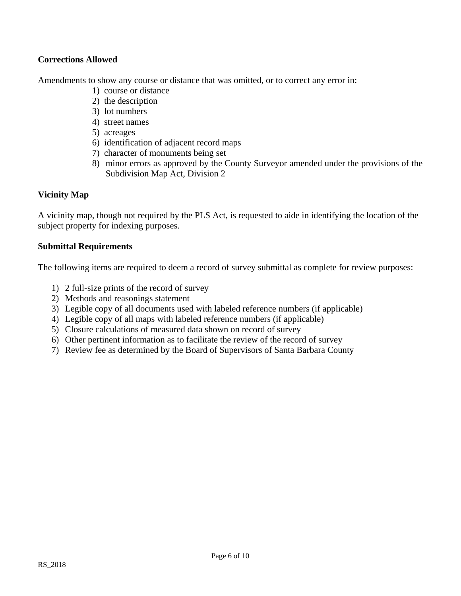# **Corrections Allowed**

Amendments to show any course or distance that was omitted, or to correct any error in:

- 1) course or distance
- 2) the description
- 3) lot numbers
- 4) street names
- 5) acreages
- 6) identification of adjacent record maps
- 7) character of monuments being set
- 8) minor errors as approved by the County Surveyor amended under the provisions of the Subdivision Map Act, Division 2

# **Vicinity Map**

A vicinity map, though not required by the PLS Act, is requested to aide in identifying the location of the subject property for indexing purposes.

## **Submittal Requirements**

The following items are required to deem a record of survey submittal as complete for review purposes:

- 1) 2 full-size prints of the record of survey
- 2) Methods and reasonings statement
- 3) Legible copy of all documents used with labeled reference numbers (if applicable)
- 4) Legible copy of all maps with labeled reference numbers (if applicable)
- 5) Closure calculations of measured data shown on record of survey
- 6) Other pertinent information as to facilitate the review of the record of survey
- 7) Review fee as determined by the Board of Supervisors of Santa Barbara County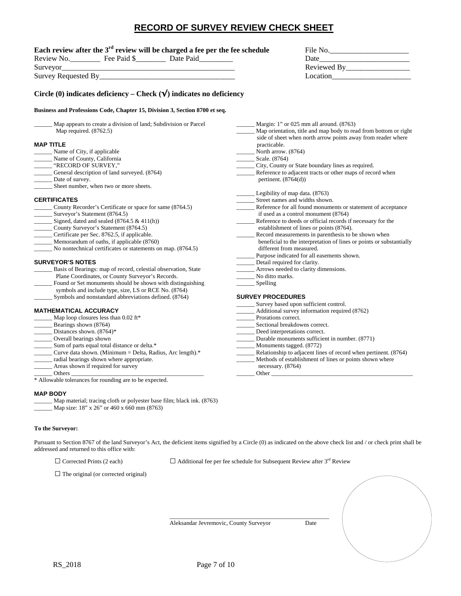# **RECORD OF SURVEY REVIEW CHECK SHEET**

#### Each review after the 3<sup>rd</sup> review will be charged a fee per the fee schedule

| Review<br>NΟ           | Fee<br>Paid | Date Paid | Date             |
|------------------------|-------------|-----------|------------------|
| Surveyor               |             |           | Reviewed<br>- Ry |
| Survey<br>Requested By |             |           |                  |

| File No.    |  |  |
|-------------|--|--|
| Date        |  |  |
| Reviewed By |  |  |
| Location    |  |  |

#### **Circle (0) indicates deficiency – Check (√) indicates no deficiency**

#### **Business and Professions Code, Chapter 15, Division 3, Section 8700 et**

| Map appears to create a division of land; Subdivision or Parcel<br>Map required. (8762.5) |  |  |  |  |
|-------------------------------------------------------------------------------------------|--|--|--|--|
| <b>MAP TITLE</b>                                                                          |  |  |  |  |
| Name of City, if applicable                                                               |  |  |  |  |
| Name of County, California                                                                |  |  |  |  |
| "RECORD OF SURVEY,"                                                                       |  |  |  |  |
| General description of land surveyed. (8764)                                              |  |  |  |  |
| Date of survey.                                                                           |  |  |  |  |
| Sheet number, when two or more sheets.                                                    |  |  |  |  |
| <b>CERTIFICATES</b>                                                                       |  |  |  |  |
| County Recorder's Certificate or space for same (8764.5)                                  |  |  |  |  |
| Surveyor's Statement (8764.5)                                                             |  |  |  |  |
| Signed, dated and sealed $(8764.5 \& 411(h))$                                             |  |  |  |  |
| County Surveyor's Statement (8764.5)                                                      |  |  |  |  |
| Certificate per Sec. 8762.5, if applicable.                                               |  |  |  |  |

- Memorandum of oaths, if applicable (8760)
- No nontechnical certificates or statements on map. (8764.5)

#### **SURVEYOR'S NOTES**

- Basis of Bearings: map of record, celestial observation, State Plane Coordinates, or County Surveyor's Records.
- Found or Set monuments should be shown with distinguishing symbols and include type, size, LS or RCE No. (8764) Symbols and nonstandard abbreviations defined. (8764)

#### **MATHEMATICAL ACCURACY**

Map loop closures less than  $0.02$  ft\* Bearings shown (8764) Distances shown. (8764)\* \_\_\_\_\_\_ Overall bearings shown Sum of parts equal total distance or delta.\* \_\_\_\_\_\_ Curve data shown. (Minimum = Delta, Radius, Arc length).\* radial bearings shown where appropriate. Areas shown if required for survey \_\_\_\_\_\_ Others \_\_\_\_\_\_\_\_\_\_\_\_\_\_\_\_\_\_\_\_\_\_\_\_\_\_\_\_\_\_\_\_\_\_\_\_\_\_\_\_\_\_\_\_ \_\_\_\_\_\_ Prorations correct. \_\_\_\_\_\_\_\_ Sectional breakdowns correct. \_\_\_\_\_\_ Deed interpretations correct. Monuments tagged. (8772) Relationship to adjacent lines of record when pertinent. (8764) Methods of establishment of lines or points shown where necessary. (8764) \_\_\_\_\_\_ Other \_\_\_\_\_\_\_\_\_\_\_\_\_\_\_\_\_\_\_\_\_\_\_\_\_\_\_\_\_\_\_\_\_\_\_\_\_\_\_\_\_\_\_\_\_\_\_

 $\_$ 

\* Allowable tolerances for rounding are to be expected.

#### **MAP BODY**

Map material; tracing cloth or polyester base film; black ink. (8763) Map size: 18" x 26" or 460 x 660 mm (8763)

#### **To the Surveyor:**

Pursuant to Section 8767 of the land Surveyor's Act, the deficient items signified by a Circle (0) as indicated on the above check list and / or check print shall be addressed and returned to this office with:

 $\Box$  Corrected Prints (2 each)  $\Box$  Additional fee per fee schedule for Subsequent Review after 3<sup>rd</sup> Review

 $\Box$  The original (or corrected original)

| Margin: 1" or $025$ mm all around. $(8763)$                                                                                                                                                                                                                                                                 |
|-------------------------------------------------------------------------------------------------------------------------------------------------------------------------------------------------------------------------------------------------------------------------------------------------------------|
| Map orientation, title and map body to read from bottom or right                                                                                                                                                                                                                                            |
| side of sheet when north arrow points away from reader where                                                                                                                                                                                                                                                |
| practicable.                                                                                                                                                                                                                                                                                                |
| North arrow. $(8764)$                                                                                                                                                                                                                                                                                       |
| Scale. $(8764)$                                                                                                                                                                                                                                                                                             |
| City, County or State boundary lines as required.                                                                                                                                                                                                                                                           |
| Reference to adjacent tracts or other maps of record when                                                                                                                                                                                                                                                   |
| pertinent. $(8764(d))$                                                                                                                                                                                                                                                                                      |
| Legibility of map data. (8763)                                                                                                                                                                                                                                                                              |
| Street names and widths shown.                                                                                                                                                                                                                                                                              |
| Reference for all found monuments or statement of acceptance                                                                                                                                                                                                                                                |
| if used as a control monument (8764)                                                                                                                                                                                                                                                                        |
| Reference to deeds or official records if necessary for the                                                                                                                                                                                                                                                 |
| establishment of lines or points (8764).                                                                                                                                                                                                                                                                    |
| Record measurements in parenthesis to be shown when                                                                                                                                                                                                                                                         |
| beneficial to the interpretation of lines or points or substantially                                                                                                                                                                                                                                        |
| different from measured.                                                                                                                                                                                                                                                                                    |
| Purpose indicated for all easements shown.                                                                                                                                                                                                                                                                  |
| Detail required for clarity.                                                                                                                                                                                                                                                                                |
| _______ Arrows needed to clarity dimensions.                                                                                                                                                                                                                                                                |
| No ditto marks.                                                                                                                                                                                                                                                                                             |
|                                                                                                                                                                                                                                                                                                             |
|                                                                                                                                                                                                                                                                                                             |
| <b>SURVEY PROCEDURES</b>                                                                                                                                                                                                                                                                                    |
| Survey based upon sufficient control.                                                                                                                                                                                                                                                                       |
| Additional survey information required (8762)                                                                                                                                                                                                                                                               |
| _________ Prorations correct.                                                                                                                                                                                                                                                                               |
| Sectional breakdowns correct.                                                                                                                                                                                                                                                                               |
| Deed interpretations correct.                                                                                                                                                                                                                                                                               |
| Durable monuments sufficient in number. (8771)                                                                                                                                                                                                                                                              |
| $\mathbf{r}$ , $\mathbf{r}$ , $\mathbf{r}$ , $\mathbf{r}$ , $\mathbf{r}$ , $\mathbf{r}$ , $\mathbf{r}$ , $\mathbf{r}$ , $\mathbf{r}$ , $\mathbf{r}$ , $\mathbf{r}$ , $\mathbf{r}$ , $\mathbf{r}$ , $\mathbf{r}$ , $\mathbf{r}$ , $\mathbf{r}$ , $\mathbf{r}$ , $\mathbf{r}$ , $\mathbf{r}$ , $\mathbf{r}$ , |

Aleksandar Jevremovic, County Surveyor Date

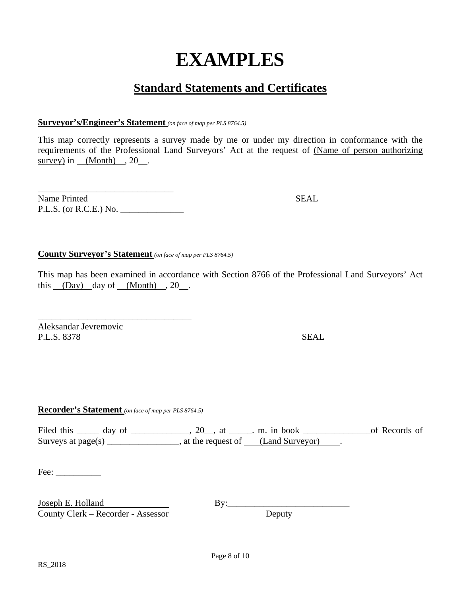# **EXAMPLES**

# **Standard Statements and Certificates**

#### **Surveyor's/Engineer's Statement** *(on face of map per PLS 8764.5)*

This map correctly represents a survey made by me or under my direction in conformance with the requirements of the Professional Land Surveyors' Act at the request of (Name of person authorizing survey) in  $(Month)$ , 20.

| Name Printed             | <b>SEAL</b> |
|--------------------------|-------------|
| $P.L.S.$ (or R.C.E.) No. |             |

## **County Surveyor's Statement** *(on face of map per PLS 8764.5)*

This map has been examined in accordance with Section 8766 of the Professional Land Surveyors' Act this (Day) day of (Month) , 20 .

Aleksandar Jevremovic P.L.S. 8378 SEAL

**Recorder's Statement** *(on face of map per PLS 8764.5)*

\_\_\_\_\_\_\_\_\_\_\_\_\_\_\_\_\_\_\_\_\_\_\_\_\_\_\_\_\_\_\_\_\_\_

Filed this \_\_\_\_\_\_ day of \_\_\_\_\_\_\_\_\_\_\_\_\_, 20\_\_, at \_\_\_\_\_\_. m. in book \_\_\_\_\_\_\_\_\_\_\_\_\_\_\_\_\_\_\_\_\_of Records of Surveys at page(s) \_\_\_\_\_\_\_\_\_\_\_\_\_\_\_, at the request of  $\_\_\_\_\_\_\_\_\_\_\_\_\_\_\_\_\$ .

Fee: \_\_\_\_\_\_\_\_\_\_

Joseph E. Holland<br>
County Clerk – Recorder - Assessor<br>
By: By: By: By: Beputy County Clerk – Recorder - Assessor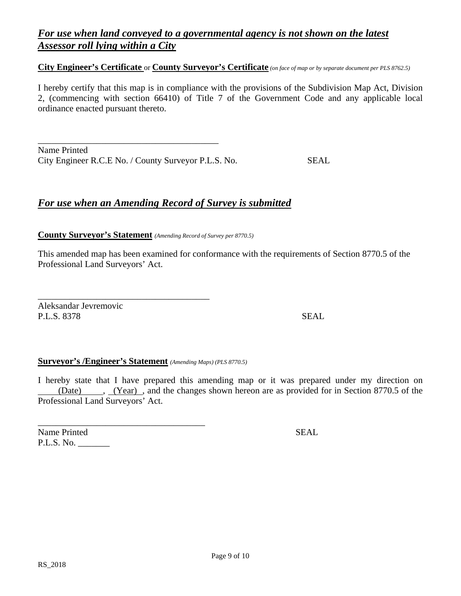# *For use when land conveyed to a governmental agency is not shown on the latest Assessor roll lying within a City*

#### **City Engineer's Certificate** or **County Surveyor's Certificate** *(on face of map or by separate document per PLS 8762.5)*

I hereby certify that this map is in compliance with the provisions of the Subdivision Map Act, Division 2, (commencing with section 66410) of Title 7 of the Government Code and any applicable local ordinance enacted pursuant thereto.

Name Printed City Engineer R.C.E No. / County Surveyor P.L.S. No. SEAL

\_\_\_\_\_\_\_\_\_\_\_\_\_\_\_\_\_\_\_\_\_\_\_\_\_\_\_\_\_\_\_\_\_\_\_\_\_\_\_\_

# *For use when an Amending Record of Survey is submitted*

**County Surveyor's Statement** *(Amending Record of Survey per 8770.5)*

This amended map has been examined for conformance with the requirements of Section 8770.5 of the Professional Land Surveyors' Act.

Aleksandar Jevremovic P.L.S. 8378 SEAL

#### **Surveyor's /Engineer's Statement** *(Amending Maps) (PLS 8770.5)*

\_\_\_\_\_\_\_\_\_\_\_\_\_\_\_\_\_\_\_\_\_\_\_\_\_\_\_\_\_\_\_\_\_\_\_\_\_\_

\_\_\_\_\_\_\_\_\_\_\_\_\_\_\_\_\_\_\_\_\_\_\_\_\_\_\_\_\_\_\_\_\_\_\_\_\_

I hereby state that I have prepared this amending map or it was prepared under my direction on (Date) , (Year) , and the changes shown hereon are as provided for in Section 8770.5 of the Professional Land Surveyors' Act.

Name Printed SEAL P.L.S. No. \_\_\_\_\_\_\_